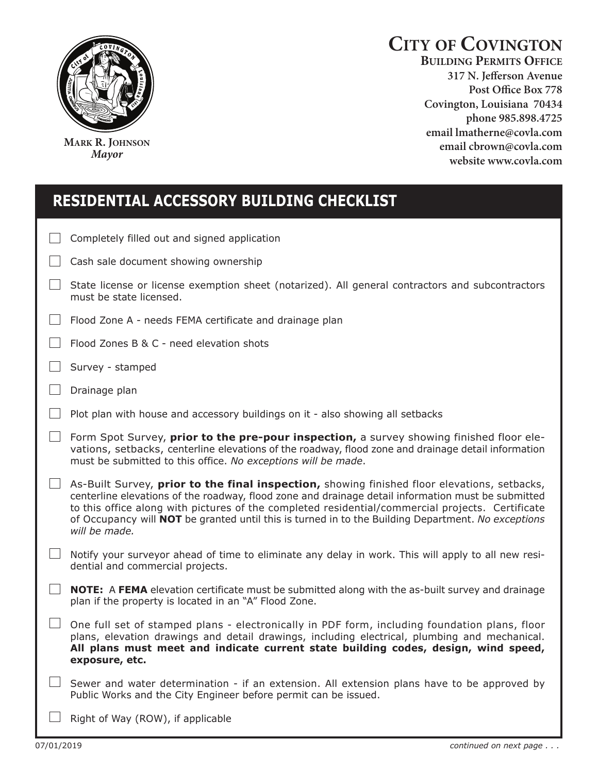

**MARK R. JOHNSON** *Mayor*

## **CITY OF COVINGTON**

**BUILDING PERMITS OFFICE 317 N. Jefferson Avenue**  Covington, Louisiana 70434 phone 985.898.4725 email lmatherne@covla.com email cbrown@covla.com website www.covla.com

| <b>RESIDENTIAL ACCESSORY BUILDING CHECKLIST</b> |                                                                                                                                                                                                                                                                                                                                                                                                                               |
|-------------------------------------------------|-------------------------------------------------------------------------------------------------------------------------------------------------------------------------------------------------------------------------------------------------------------------------------------------------------------------------------------------------------------------------------------------------------------------------------|
|                                                 | Completely filled out and signed application                                                                                                                                                                                                                                                                                                                                                                                  |
|                                                 | Cash sale document showing ownership                                                                                                                                                                                                                                                                                                                                                                                          |
|                                                 | State license or license exemption sheet (notarized). All general contractors and subcontractors<br>must be state licensed.                                                                                                                                                                                                                                                                                                   |
|                                                 | Flood Zone A - needs FEMA certificate and drainage plan                                                                                                                                                                                                                                                                                                                                                                       |
|                                                 | Flood Zones B & C - need elevation shots                                                                                                                                                                                                                                                                                                                                                                                      |
|                                                 | Survey - stamped                                                                                                                                                                                                                                                                                                                                                                                                              |
|                                                 | Drainage plan                                                                                                                                                                                                                                                                                                                                                                                                                 |
|                                                 | Plot plan with house and accessory buildings on it - also showing all setbacks                                                                                                                                                                                                                                                                                                                                                |
|                                                 | Form Spot Survey, prior to the pre-pour inspection, a survey showing finished floor ele-<br>vations, setbacks, centerline elevations of the roadway, flood zone and drainage detail information<br>must be submitted to this office. No exceptions will be made.                                                                                                                                                              |
|                                                 | As-Built Survey, prior to the final inspection, showing finished floor elevations, setbacks,<br>centerline elevations of the roadway, flood zone and drainage detail information must be submitted<br>to this office along with pictures of the completed residential/commercial projects. Certificate<br>of Occupancy will NOT be granted until this is turned in to the Building Department. No exceptions<br>will be made. |
|                                                 | Notify your surveyor ahead of time to eliminate any delay in work. This will apply to all new resi-<br>dential and commercial projects.                                                                                                                                                                                                                                                                                       |
|                                                 | <b>NOTE:</b> A FEMA elevation certificate must be submitted along with the as-built survey and drainage<br>plan if the property is located in an "A" Flood Zone.                                                                                                                                                                                                                                                              |
|                                                 | One full set of stamped plans - electronically in PDF form, including foundation plans, floor<br>plans, elevation drawings and detail drawings, including electrical, plumbing and mechanical.<br>All plans must meet and indicate current state building codes, design, wind speed,<br>exposure, etc.                                                                                                                        |
|                                                 | Sewer and water determination - if an extension. All extension plans have to be approved by<br>Public Works and the City Engineer before permit can be issued.                                                                                                                                                                                                                                                                |
|                                                 | Right of Way (ROW), if applicable                                                                                                                                                                                                                                                                                                                                                                                             |